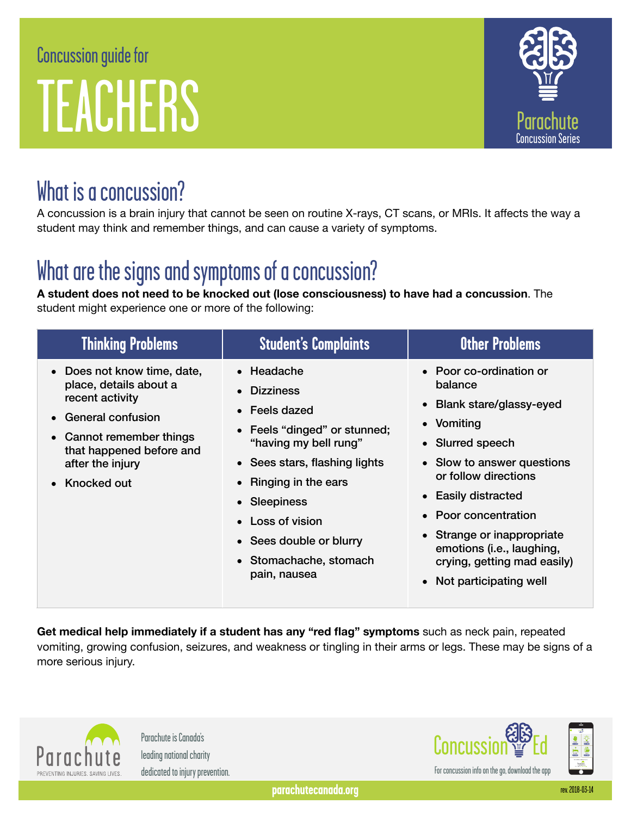# Concussion guide for TEACHERS



# What is a concussion?

A concussion is a brain injury that cannot be seen on routine X-rays, CT scans, or MRIs. It affects the way a student may think and remember things, and can cause a variety of symptoms.

# What are the signs and symptoms of a concussion?

**A student does not need to be knocked out (lose consciousness) to have had a concussion**. The student might experience one or more of the following:

| <b>Thinking Problems</b>                                                                                                                                                                                            | <b>Student's Complaints</b>                                                                                                                                                                                                                                                            | <b>Other Problems</b>                                                                                                                                                                                                                                                                                                      |
|---------------------------------------------------------------------------------------------------------------------------------------------------------------------------------------------------------------------|----------------------------------------------------------------------------------------------------------------------------------------------------------------------------------------------------------------------------------------------------------------------------------------|----------------------------------------------------------------------------------------------------------------------------------------------------------------------------------------------------------------------------------------------------------------------------------------------------------------------------|
| • Does not know time, date,<br>place, details about a<br>recent activity<br><b>General confusion</b><br>$\bullet$<br>• Cannot remember things<br>that happened before and<br>after the injury<br><b>Knocked out</b> | $\bullet$ Headache<br>• Dizziness<br>• Feels dazed<br>• Feels "dinged" or stunned;<br>"having my bell rung"<br>• Sees stars, flashing lights<br>• Ringing in the ears<br>• Sleepiness<br>$\bullet$ Loss of vision<br>• Sees double or blurry<br>• Stomachache, stomach<br>pain, nausea | • Poor co-ordination or<br>balance<br>• Blank stare/glassy-eyed<br>• Vomiting<br>• Slurred speech<br>• Slow to answer questions<br>or follow directions<br>• Easily distracted<br>• Poor concentration<br>• Strange or inappropriate<br>emotions (i.e., laughing,<br>crying, getting mad easily)<br>Not participating well |

**Get medical help immediately if a student has any "red flag" symptoms** such as neck pain, repeated vomiting, growing confusion, seizures, and weakness or tingling in their arms or legs. These may be signs of a more serious injury.



Parachute is Canada's leading national charity dedicated to injury prevention.

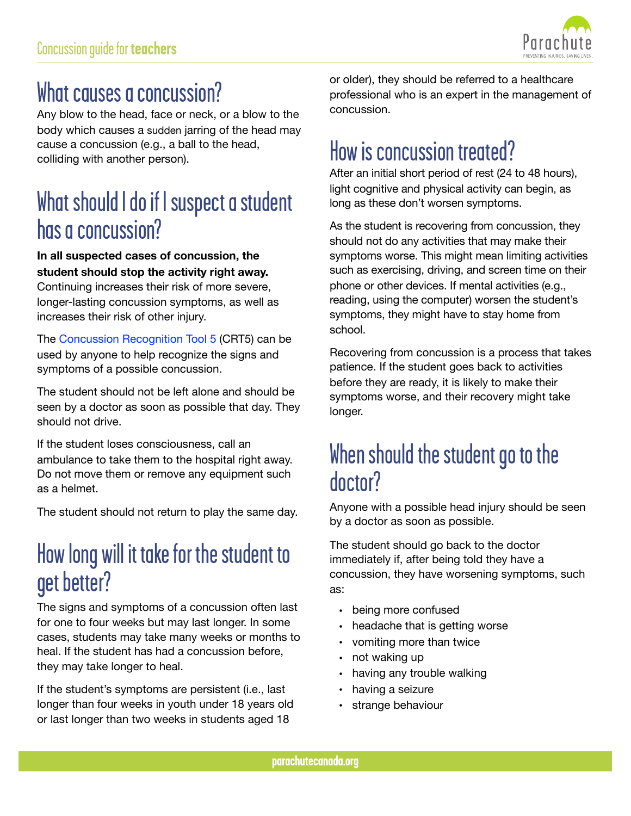

## What causes a concussion?

Any blow to the head, face or neck, or a blow to the body which causes a sudden jarring of the head may cause a concussion (e.g., a ball to the head, colliding with another person).

## What should I do if I suspect a student has a concussion?

**In all suspected cases of concussion, the student should stop the activity right away.**

Continuing increases their risk of more severe, longer-lasting concussion symptoms, as well as increases their risk of other injury.

The [Concussion Recognition Tool 5](http://www.parachutecanada.org/downloads/resources/CRT5.pdf) (CRT5) can be used by anyone to help recognize the signs and symptoms of a possible concussion.

The student should not be left alone and should be seen by a doctor as soon as possible that day. They should not drive.

If the student loses consciousness, call an ambulance to take them to the hospital right away. Do not move them or remove any equipment such as a helmet.

The student should not return to play the same day.

# How long will it take for the student to get better?

The signs and symptoms of a concussion often last for one to four weeks but may last longer. In some cases, students may take many weeks or months to heal. If the student has had a concussion before, they may take longer to heal.

If the student's symptoms are persistent (i.e., last longer than four weeks in youth under 18 years old or last longer than two weeks in students aged 18

or older), they should be referred to a healthcare professional who is an expert in the management of concussion.

# How is concussion treated?

After an initial short period of rest (24 to 48 hours), light cognitive and physical activity can begin, as long as these don't worsen symptoms.

As the student is recovering from concussion, they should not do any activities that may make their symptoms worse. This might mean limiting activities such as exercising, driving, and screen time on their phone or other devices. If mental activities (e.g., reading, using the computer) worsen the student's symptoms, they might have to stay home from school.

Recovering from concussion is a process that takes patience. If the student goes back to activities before they are ready, it is likely to make their symptoms worse, and their recovery might take longer.

### When should the student go to the doctor?

Anyone with a possible head injury should be seen by a doctor as soon as possible.

The student should go back to the doctor immediately if, after being told they have a concussion, they have worsening symptoms, such as:

- being more confused
- headache that is getting worse
- vomiting more than twice
- not waking up
- having any trouble walking
- having a seizure
- strange behaviour